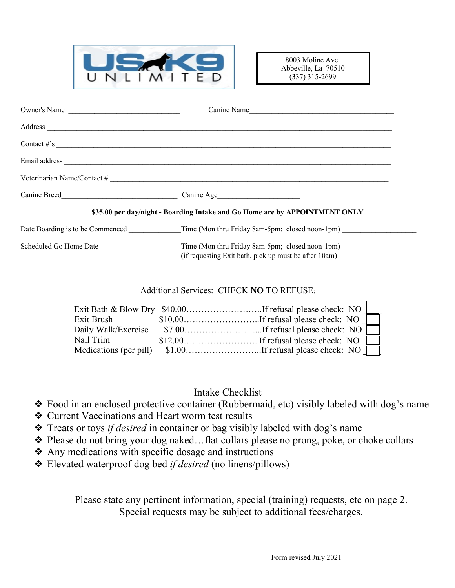

8003 Moline Ave. Abbeville, La 70510 (337) 315-2699

| Owner's Name           | Canine Name                                                                                              |
|------------------------|----------------------------------------------------------------------------------------------------------|
|                        |                                                                                                          |
|                        | Contact $\#s$                                                                                            |
|                        |                                                                                                          |
|                        | Veterinarian Name/Contact #                                                                              |
|                        | Canine Age                                                                                               |
|                        | \$35.00 per day/night - Boarding Intake and Go Home are by APPOINTMENT ONLY                              |
|                        | Date Boarding is to be Commenced Time (Mon thru Friday 8am-5pm; closed noon-1pm)                         |
| Scheduled Go Home Date | Time (Mon thru Friday 8am-5pm; closed noon-1pm)<br>(if requesting Exit bath, pick up must be after 10am) |

## Additional Services: CHECK **NO** TO REFUSE:

| Exit Brush          |  |
|---------------------|--|
| Daily Walk/Exercise |  |
| Nail Trim           |  |
|                     |  |

## Intake Checklist

- \* Food in an enclosed protective container (Rubbermaid, etc) visibly labeled with dog's name
- v Current Vaccinations and Heart worm test results
- v Treats or toys *if desired* in container or bag visibly labeled with dog's name
- \* Please do not bring your dog naked...flat collars please no prong, poke, or choke collars
- $\triangle$  Any medications with specific dosage and instructions
- v Elevated waterproof dog bed *if desired* (no linens/pillows)

Please state any pertinent information, special (training) requests, etc on page 2. Special requests may be subject to additional fees/charges.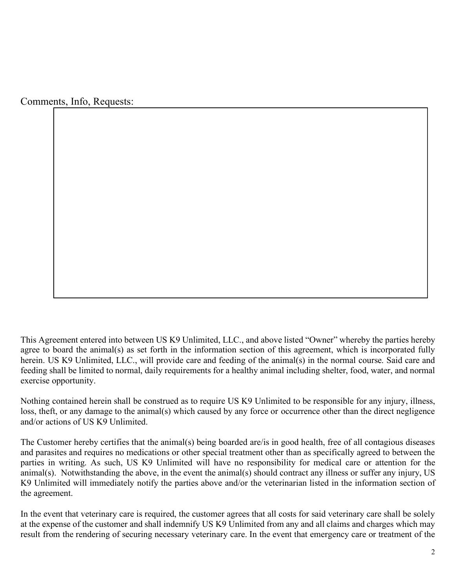Comments, Info, Requests:

This Agreement entered into between US K9 Unlimited, LLC., and above listed "Owner" whereby the parties hereby agree to board the animal(s) as set forth in the information section of this agreement, which is incorporated fully herein. US K9 Unlimited, LLC., will provide care and feeding of the animal(s) in the normal course. Said care and feeding shall be limited to normal, daily requirements for a healthy animal including shelter, food, water, and normal exercise opportunity.

Nothing contained herein shall be construed as to require US K9 Unlimited to be responsible for any injury, illness, loss, theft, or any damage to the animal(s) which caused by any force or occurrence other than the direct negligence and/or actions of US K9 Unlimited.

The Customer hereby certifies that the animal(s) being boarded are/is in good health, free of all contagious diseases and parasites and requires no medications or other special treatment other than as specifically agreed to between the parties in writing. As such, US K9 Unlimited will have no responsibility for medical care or attention for the  $\frac{1}{2}$  animal(s). Notwithstanding the above, in the event the animal(s) should contract any illness or suffer any injury, US K9 Unlimited will immediately notify the parties above and/or the veterinarian listed in the information section of the agreement.

In the event that veterinary care is required, the customer agrees that all costs for said veterinary care shall be solely at the expense of the customer and shall indemnify US K9 Unlimited from any and all claims and charges which may result from the rendering of securing necessary veterinary care. In the event that emergency care or treatment of the